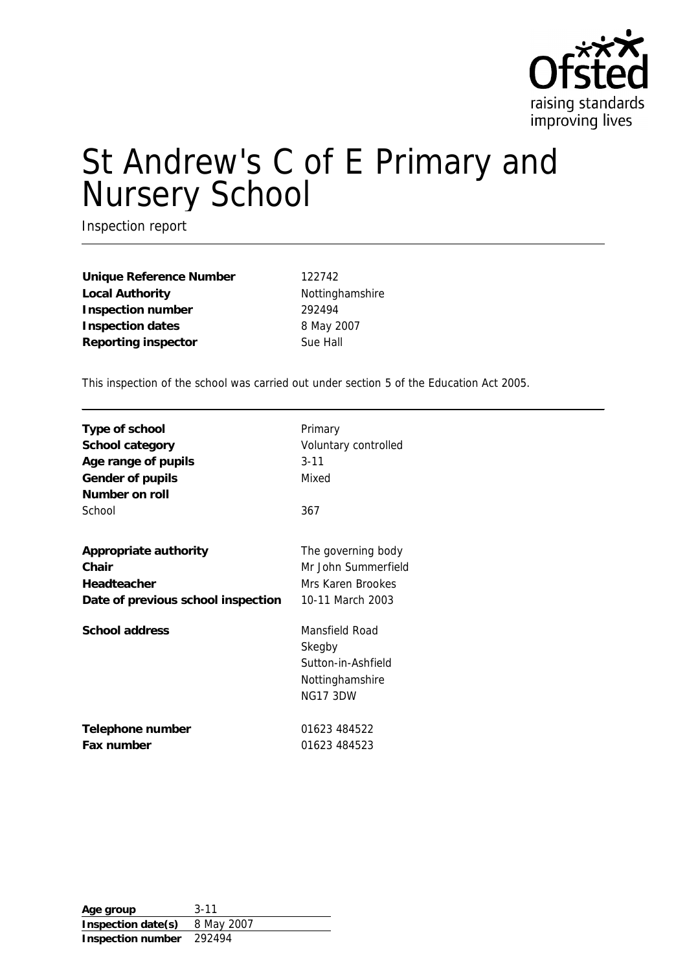

# St Andrew's C of E Primary and Nursery School

Inspection report

**Unique Reference Number** 122742 Local Authority **Nottinghamshire Inspection number** 292494 **Inspection dates** 8 May 2007 **Reporting inspector** Sue Hall

This inspection of the school was carried out under section 5 of the Education Act 2005.

| Type of school<br>School category<br>Age range of pupils<br>Gender of pupils<br>Number on roll<br>School | Primary<br>Voluntary controlled<br>$3 - 11$<br>Mixed<br>367                          |
|----------------------------------------------------------------------------------------------------------|--------------------------------------------------------------------------------------|
| Appropriate authority                                                                                    | The governing body                                                                   |
| Chair                                                                                                    | Mr John Summerfield                                                                  |
| Headteacher                                                                                              | Mrs Karen Brookes                                                                    |
| Date of previous school inspection                                                                       | 10-11 March 2003                                                                     |
| School address                                                                                           | Mansfield Road<br>Skegby<br>Sutton-in-Ashfield<br>Nottinghamshire<br><b>NG17 3DW</b> |
| Telephone number                                                                                         | 01623 484522                                                                         |
| Fax number                                                                                               | 01623 484523                                                                         |

**Age group** 3-11 **Inspection date(s)** 8 May 2007 **Inspection number** 292494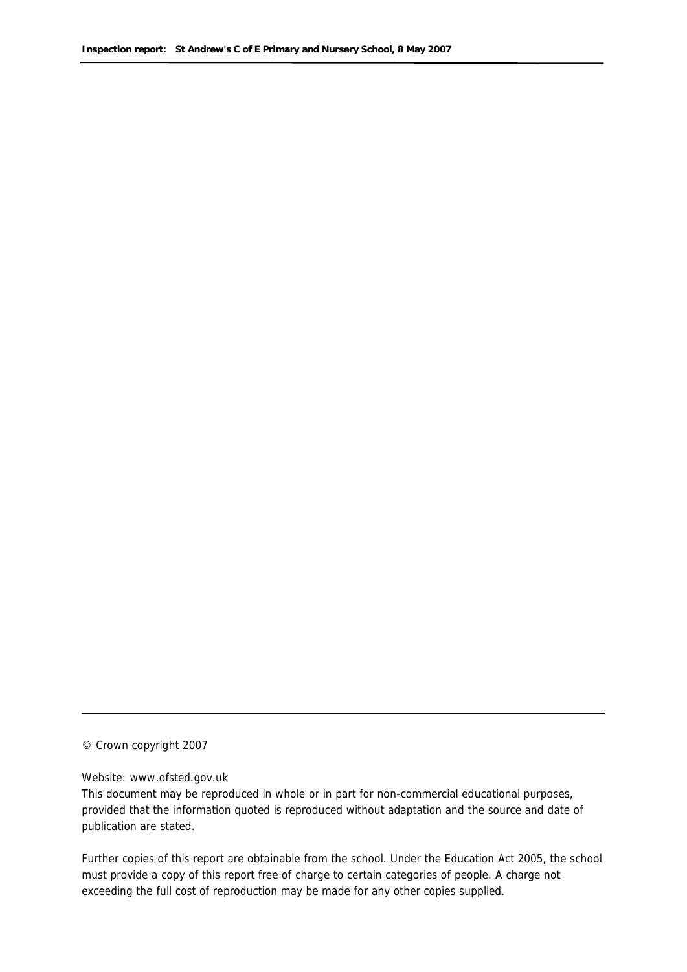© Crown copyright 2007

#### Website: www.ofsted.gov.uk

This document may be reproduced in whole or in part for non-commercial educational purposes, provided that the information quoted is reproduced without adaptation and the source and date of publication are stated.

Further copies of this report are obtainable from the school. Under the Education Act 2005, the school must provide a copy of this report free of charge to certain categories of people. A charge not exceeding the full cost of reproduction may be made for any other copies supplied.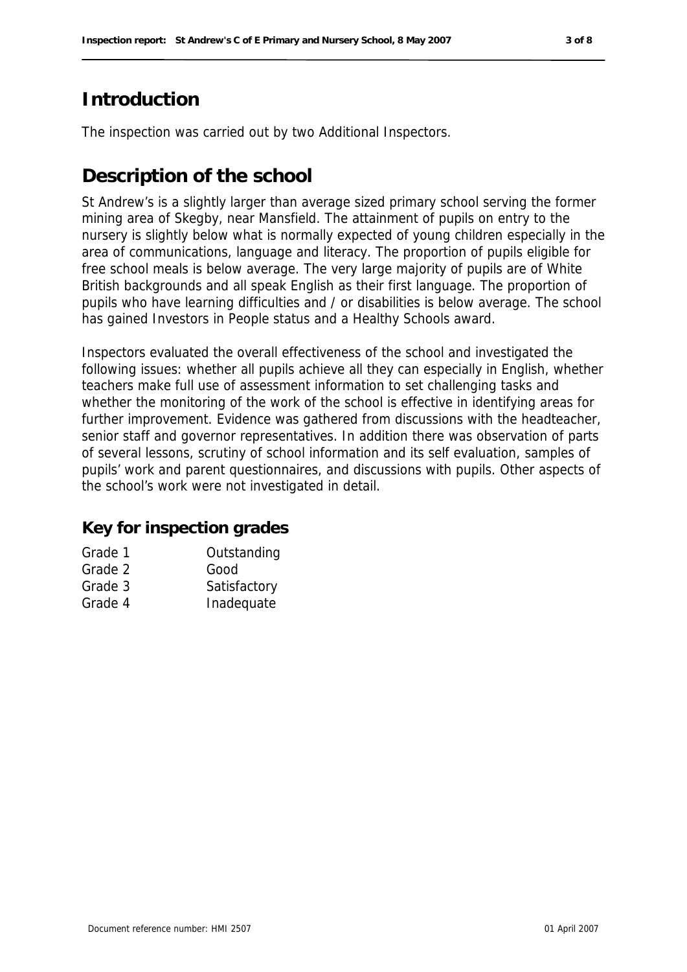# **Introduction**

The inspection was carried out by two Additional Inspectors.

# **Description of the school**

St Andrew's is a slightly larger than average sized primary school serving the former mining area of Skegby, near Mansfield. The attainment of pupils on entry to the nursery is slightly below what is normally expected of young children especially in the area of communications, language and literacy. The proportion of pupils eligible for free school meals is below average. The very large majority of pupils are of White British backgrounds and all speak English as their first language. The proportion of pupils who have learning difficulties and / or disabilities is below average. The school has gained Investors in People status and a Healthy Schools award.

Inspectors evaluated the overall effectiveness of the school and investigated the following issues: whether all pupils achieve all they can especially in English, whether teachers make full use of assessment information to set challenging tasks and whether the monitoring of the work of the school is effective in identifying areas for further improvement. Evidence was gathered from discussions with the headteacher, senior staff and governor representatives. In addition there was observation of parts of several lessons, scrutiny of school information and its self evaluation, samples of pupils' work and parent questionnaires, and discussions with pupils. Other aspects of the school's work were not investigated in detail.

#### **Key for inspection grades**

| Grade 1              | Outstanding  |
|----------------------|--------------|
| Grade 2              | Good         |
| Grade 3              | Satisfactory |
| $\sim$ $\sim$ $\sim$ |              |

Grade 4 Inadequate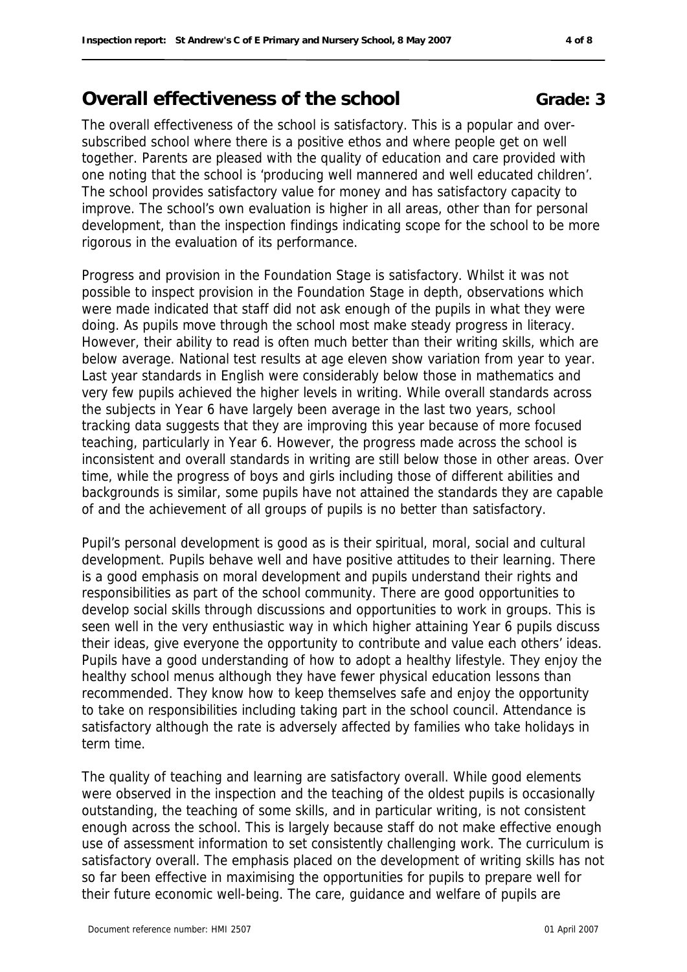# **Overall effectiveness of the school <b>Grade: 3**

The overall effectiveness of the school is satisfactory. This is a popular and oversubscribed school where there is a positive ethos and where people get on well together. Parents are pleased with the quality of education and care provided with one noting that the school is 'producing well mannered and well educated children'. The school provides satisfactory value for money and has satisfactory capacity to improve. The school's own evaluation is higher in all areas, other than for personal development, than the inspection findings indicating scope for the school to be more rigorous in the evaluation of its performance.

Progress and provision in the Foundation Stage is satisfactory. Whilst it was not possible to inspect provision in the Foundation Stage in depth, observations which were made indicated that staff did not ask enough of the pupils in what they were doing. As pupils move through the school most make steady progress in literacy. However, their ability to read is often much better than their writing skills, which are below average. National test results at age eleven show variation from year to year. Last year standards in English were considerably below those in mathematics and very few pupils achieved the higher levels in writing. While overall standards across the subjects in Year 6 have largely been average in the last two years, school tracking data suggests that they are improving this year because of more focused teaching, particularly in Year 6. However, the progress made across the school is inconsistent and overall standards in writing are still below those in other areas. Over time, while the progress of boys and girls including those of different abilities and backgrounds is similar, some pupils have not attained the standards they are capable of and the achievement of all groups of pupils is no better than satisfactory.

Pupil's personal development is good as is their spiritual, moral, social and cultural development. Pupils behave well and have positive attitudes to their learning. There is a good emphasis on moral development and pupils understand their rights and responsibilities as part of the school community. There are good opportunities to develop social skills through discussions and opportunities to work in groups. This is seen well in the very enthusiastic way in which higher attaining Year 6 pupils discuss their ideas, give everyone the opportunity to contribute and value each others' ideas. Pupils have a good understanding of how to adopt a healthy lifestyle. They enjoy the healthy school menus although they have fewer physical education lessons than recommended. They know how to keep themselves safe and enjoy the opportunity to take on responsibilities including taking part in the school council. Attendance is satisfactory although the rate is adversely affected by families who take holidays in term time.

The quality of teaching and learning are satisfactory overall. While good elements were observed in the inspection and the teaching of the oldest pupils is occasionally outstanding, the teaching of some skills, and in particular writing, is not consistent enough across the school. This is largely because staff do not make effective enough use of assessment information to set consistently challenging work. The curriculum is satisfactory overall. The emphasis placed on the development of writing skills has not so far been effective in maximising the opportunities for pupils to prepare well for their future economic well-being. The care, guidance and welfare of pupils are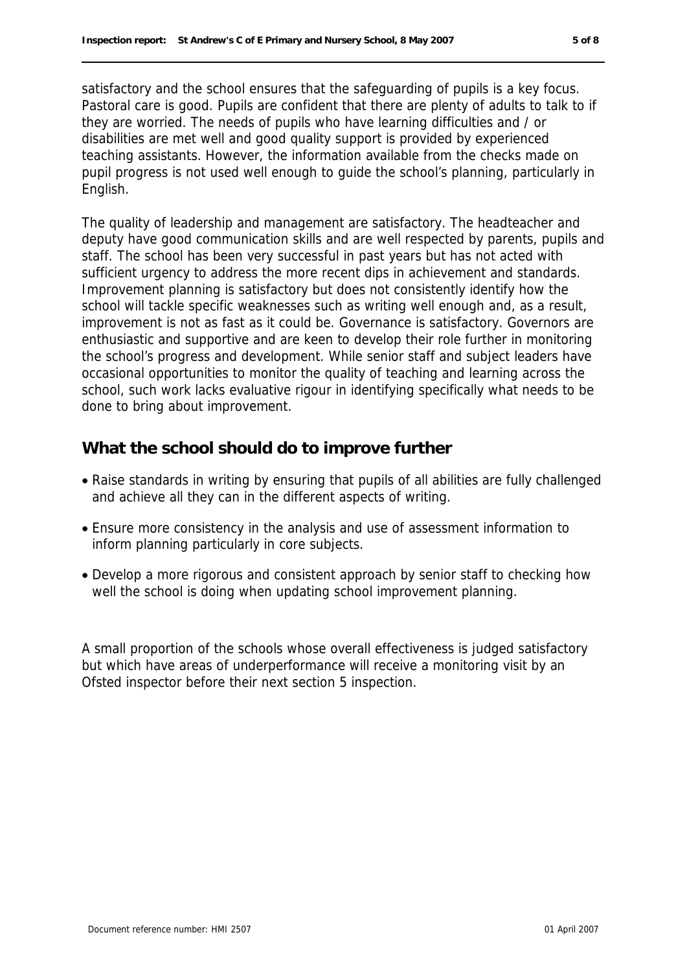satisfactory and the school ensures that the safeguarding of pupils is a key focus. Pastoral care is good. Pupils are confident that there are plenty of adults to talk to if they are worried. The needs of pupils who have learning difficulties and / or disabilities are met well and good quality support is provided by experienced teaching assistants. However, the information available from the checks made on pupil progress is not used well enough to guide the school's planning, particularly in English.

The quality of leadership and management are satisfactory. The headteacher and deputy have good communication skills and are well respected by parents, pupils and staff. The school has been very successful in past years but has not acted with sufficient urgency to address the more recent dips in achievement and standards. Improvement planning is satisfactory but does not consistently identify how the school will tackle specific weaknesses such as writing well enough and, as a result, improvement is not as fast as it could be. Governance is satisfactory. Governors are enthusiastic and supportive and are keen to develop their role further in monitoring the school's progress and development. While senior staff and subject leaders have occasional opportunities to monitor the quality of teaching and learning across the school, such work lacks evaluative rigour in identifying specifically what needs to be done to bring about improvement.

#### **What the school should do to improve further**

- Raise standards in writing by ensuring that pupils of all abilities are fully challenged and achieve all they can in the different aspects of writing.
- Ensure more consistency in the analysis and use of assessment information to inform planning particularly in core subjects.
- Develop a more rigorous and consistent approach by senior staff to checking how well the school is doing when updating school improvement planning.

A small proportion of the schools whose overall effectiveness is judged satisfactory but which have areas of underperformance will receive a monitoring visit by an Ofsted inspector before their next section 5 inspection.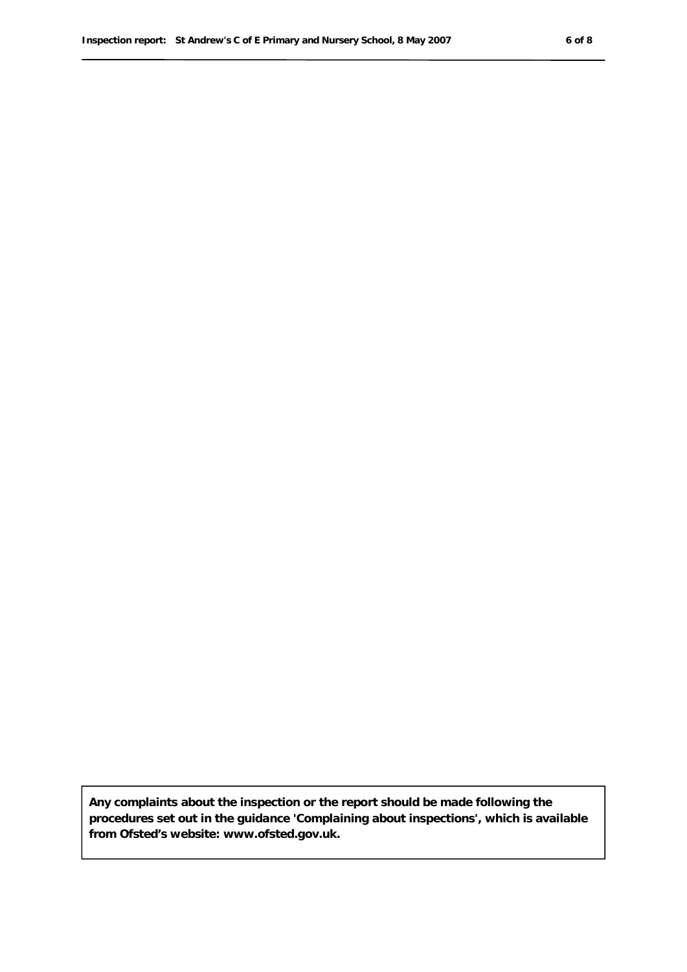**Any complaints about the inspection or the report should be made following the procedures set out in the guidance 'Complaining about inspections', which is available from Ofsted's website: www.ofsted.gov.uk.**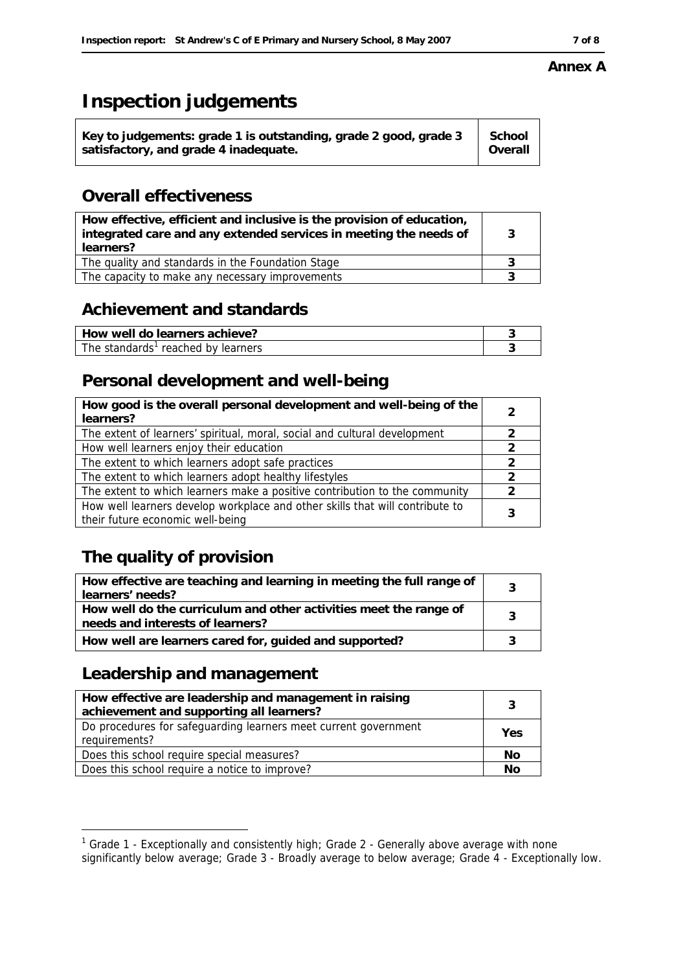#### **Annex A**

# **Inspection judgements**

| School<br>Key to judgements: grade 1 is outstanding, grade 2 good, grade 3<br>l Overall<br>satisfactory, and grade 4 inadequate. |
|----------------------------------------------------------------------------------------------------------------------------------|
|----------------------------------------------------------------------------------------------------------------------------------|

### **Overall effectiveness**

| How effective, efficient and inclusive is the provision of education,<br>integrated care and any extended services in meeting the needs of<br>learners? | 3 |
|---------------------------------------------------------------------------------------------------------------------------------------------------------|---|
| The quality and standards in the Foundation Stage                                                                                                       |   |
| The capacity to make any necessary improvements                                                                                                         |   |

### **Achievement and standards**

| How well do learners achieve?      |  |
|------------------------------------|--|
| The standards' reached by learners |  |

# **Personal development and well-being**

| How good is the overall personal development and well-being of the<br>learners? | 2             |
|---------------------------------------------------------------------------------|---------------|
| The extent of learners' spiritual, moral, social and cultural development       | 2             |
| How well learners enjoy their education                                         |               |
| The extent to which learners adopt safe practices                               | $\mathcal{P}$ |
| The extent to which learners adopt healthy lifestyles                           | 2             |
| The extent to which learners make a positive contribution to the community      | 2             |
| How well learners develop workplace and other skills that will contribute to    |               |
| their future economic well-being                                                |               |

# **The quality of provision**

| How effective are teaching and learning in meeting the full range of<br>learners' needs?              |   |
|-------------------------------------------------------------------------------------------------------|---|
| How well do the curriculum and other activities meet the range of<br>needs and interests of learners? | 2 |
| How well are learners cared for, guided and supported?                                                |   |

## **Leadership and management**

-

| How effective are leadership and management in raising<br>achievement and supporting all learners? | 3   |
|----------------------------------------------------------------------------------------------------|-----|
| Do procedures for safeguarding learners meet current government<br>requirements?                   | Yes |
| Does this school require special measures?                                                         | No  |
| Does this school require a notice to improve?                                                      | Νo  |

<sup>&</sup>lt;sup>1</sup> Grade 1 - Exceptionally and consistently high; Grade 2 - Generally above average with none significantly below average; Grade 3 - Broadly average to below average; Grade 4 - Exceptionally low.